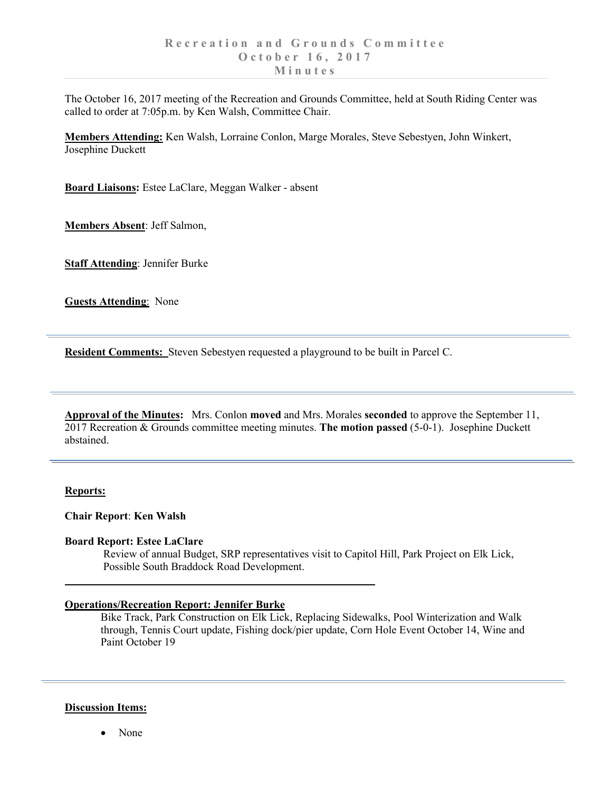The October 16, 2017 meeting of the Recreation and Grounds Committee, held at South Riding Center was called to order at 7:05p.m. by Ken Walsh, Committee Chair.

**Members Attending:** Ken Walsh, Lorraine Conlon, Marge Morales, Steve Sebestyen, John Winkert, Josephine Duckett

**Board Liaisons:** Estee LaClare, Meggan Walker - absent

**Members Absent**: Jeff Salmon,

**Staff Attending**: Jennifer Burke

**Guests Attending**: None

**Resident Comments:** Steven Sebestyen requested a playground to be built in Parcel C.

**Approval of the Minutes:** Mrs. Conlon **moved** and Mrs. Morales **seconded** to approve the September 11, 2017 Recreation & Grounds committee meeting minutes. **The motion passed** (5-0-1). Josephine Duckett abstained.

### **Reports:**

### **Chair Report**: **Ken Walsh**

**Board Report: Estee LaClare**

Review of annual Budget, SRP representatives visit to Capitol Hill, Park Project on Elk Lick, Possible South Braddock Road Development.

## **Operations/Recreation Report: Jennifer Burke**

Bike Track, Park Construction on Elk Lick, Replacing Sidewalks, Pool Winterization and Walk through, Tennis Court update, Fishing dock/pier update, Corn Hole Event October 14, Wine and Paint October 19

## **Discussion Items:**

• None